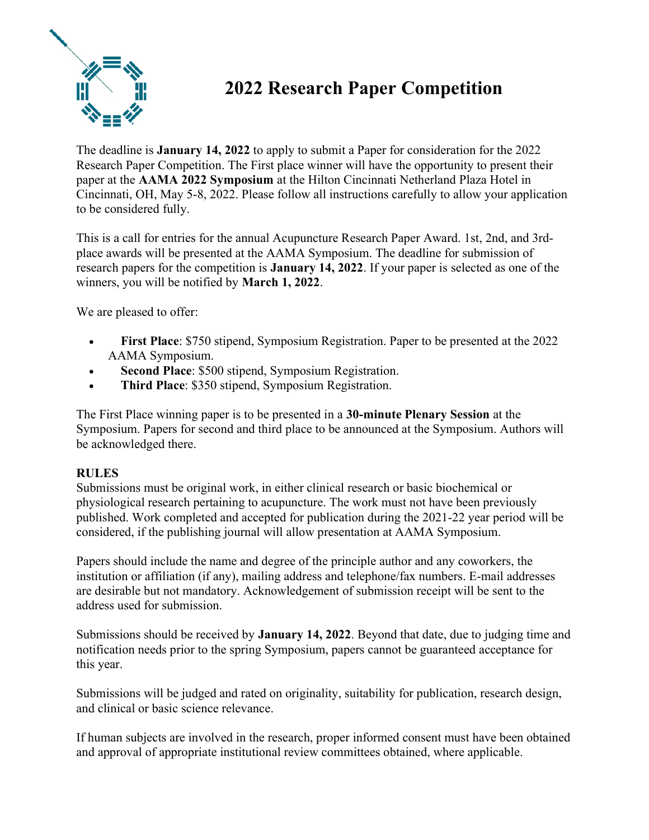

## 2022 Research Paper Competition

The deadline is January 14, 2022 to apply to submit a Paper for consideration for the 2022 Research Paper Competition. The First place winner will have the opportunity to present their paper at the AAMA 2022 Symposium at the Hilton Cincinnati Netherland Plaza Hotel in Cincinnati, OH, May 5-8, 2022. Please follow all instructions carefully to allow your application to be considered fully.

This is a call for entries for the annual Acupuncture Research Paper Award. 1st, 2nd, and 3rdplace awards will be presented at the AAMA Symposium. The deadline for submission of research papers for the competition is January 14, 2022. If your paper is selected as one of the winners, you will be notified by March 1, 2022.

We are pleased to offer:

- First Place: \$750 stipend, Symposium Registration. Paper to be presented at the 2022 AAMA Symposium.
- Second Place: \$500 stipend, Symposium Registration.
- Third Place: \$350 stipend, Symposium Registration.

The First Place winning paper is to be presented in a 30-minute Plenary Session at the Symposium. Papers for second and third place to be announced at the Symposium. Authors will be acknowledged there.

## RULES

Submissions must be original work, in either clinical research or basic biochemical or physiological research pertaining to acupuncture. The work must not have been previously published. Work completed and accepted for publication during the 2021-22 year period will be considered, if the publishing journal will allow presentation at AAMA Symposium.

Papers should include the name and degree of the principle author and any coworkers, the institution or affiliation (if any), mailing address and telephone/fax numbers. E-mail addresses are desirable but not mandatory. Acknowledgement of submission receipt will be sent to the address used for submission.

Submissions should be received by January 14, 2022. Beyond that date, due to judging time and notification needs prior to the spring Symposium, papers cannot be guaranteed acceptance for this year.

Submissions will be judged and rated on originality, suitability for publication, research design, and clinical or basic science relevance.

If human subjects are involved in the research, proper informed consent must have been obtained and approval of appropriate institutional review committees obtained, where applicable.